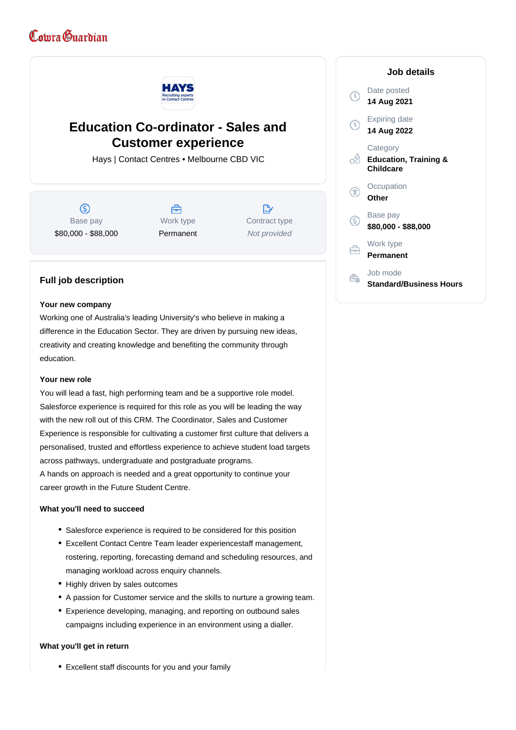# Comra Guardian



# **Education Co-ordinator - Sales and Customer experience**

Hays | Contact Centres • Melbourne CBD VIC

 $\circ$ Base pay \$80,000 - \$88,000



**D** Contract type Not provided

# **Job details**



# **Full job description**

#### **Your new company**

Working one of Australia's leading University's who believe in making a difference in the Education Sector. They are driven by pursuing new ideas, creativity and creating knowledge and benefiting the community through education.

#### **Your new role**

You will lead a fast, high performing team and be a supportive role model. Salesforce experience is required for this role as you will be leading the way with the new roll out of this CRM. The Coordinator, Sales and Customer Experience is responsible for cultivating a customer first culture that delivers a personalised, trusted and effortless experience to achieve student load targets across pathways, undergraduate and postgraduate programs. A hands on approach is needed and a great opportunity to continue your career growth in the Future Student Centre.

#### **What you'll need to succeed**

- Salesforce experience is required to be considered for this position
- Excellent Contact Centre Team leader experiencestaff management, rostering, reporting, forecasting demand and scheduling resources, and managing workload across enquiry channels.
- Highly driven by sales outcomes
- A passion for Customer service and the skills to nurture a growing team.
- Experience developing, managing, and reporting on outbound sales campaigns including experience in an environment using a dialler.

## **What you'll get in return**

Excellent staff discounts for you and your family